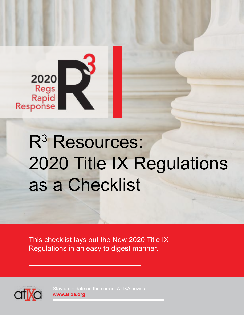

## R<sup>3</sup> Resources: 2020 Title IX Regulations as a Checklist

This checklist lays out the New 2020 Title IX Regulations in an easy to digest manner.



**www.atixa.org**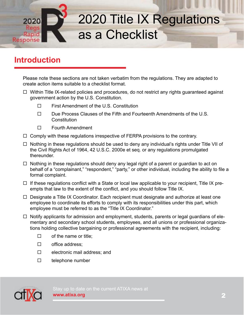

#### **Introduction**

Please note these sections are not taken verbatim from the regulations. They are adapted to create action items suitable to a checklist format.

- $\Box$  Within Title IX-related policies and procedures, do not restrict any rights guaranteed against government action by the U.S. Constitution.
	- First Amendment of the U.S. Constitution
	- $\square$  Due Process Clauses of the Fifth and Fourteenth Amendments of the U.S. **Constitution**
	- □ Fourth Amendment
- $\Box$  Comply with these regulations irrespective of FERPA provisions to the contrary.
- $\Box$  Nothing in these regulations should be used to deny any individual's rights under Title VII of the Civil Rights Act of 1964, 42 U.S.C. 2000e et seq. or any regulations promulgated thereunder.
- $\Box$  Nothing in these regulations should deny any legal right of a parent or guardian to act on behalf of a "complainant," "respondent," "party," or other individual, including the ability to file a formal complaint.
- $\Box$  If these regulations conflict with a State or local law applicable to your recipient, Title IX preempts that law to the extent of the conflict, and you should follow Title IX.
- $\Box$  Designate a Title IX Coordinator. Each recipient must designate and authorize at least one employee to coordinate its efforts to comply with its responsibilities under this part, which employee must be referred to as the "Title IX Coordinator."
- $\Box$  Notify applicants for admission and employment, students, parents or legal guardians of elementary and secondary school students, employees, and all unions or professional organizations holding collective bargaining or professional agreements with the recipient, including:
	- $\square$  of the name or title;
	- □ office address;
	- $\square$  electronic mail address; and
	- $\square$  telephone number

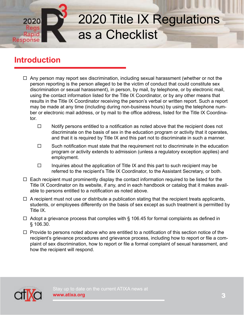# Response

### 2020 Title IX Regulations as a Checklist

#### **Introduction**

- $\Box$  Any person may report sex discrimination, including sexual harassment (whether or not the person reporting is the person alleged to be the victim of conduct that could constitute sex discrimination or sexual harassment), in person, by mail, by telephone, or by electronic mail, using the contact information listed for the Title IX Coordinator, or by any other means that results in the Title IX Coordinator receiving the person's verbal or written report. Such a report may be made at any time (including during non-business hours) by using the telephone number or electronic mail address, or by mail to the office address, listed for the Title IX Coordinator.
	- $\Box$  Notify persons entitled to a notification as noted above that the recipient does not discriminate on the basis of sex in the education program or activity that it operates, and that it is required by Title IX and this part not to discriminate in such a manner.
	- $\Box$  Such notification must state that the requirement not to discriminate in the education program or activity extends to admission (unless a regulatory exception applies) and employment.
	- $\Box$  Inquiries about the application of Title IX and this part to such recipient may be referred to the recipient's Title IX Coordinator, to the Assistant Secretary, or both.
- $\Box$  Each recipient must prominently display the contact information required to be listed for the Title IX Coordinator on its website, if any, and in each handbook or catalog that it makes available to persons entitled to a notification as noted above.
- $\Box$  A recipient must not use or distribute a publication stating that the recipient treats applicants, students, or employees differently on the basis of sex except as such treatment is permitted by Title IX.
- $\Box$  Adopt a grievance process that complies with § 106.45 for formal complaints as defined in § 106.30.
- $\Box$  Provide to persons noted above who are entitled to a notification of this section notice of the recipient's grievance procedures and grievance process, including how to report or file a complaint of sex discrimination, how to report or file a formal complaint of sexual harassment, and how the recipient will respond.



Stay up to date on the current ATIXA news at **www.atixa.org**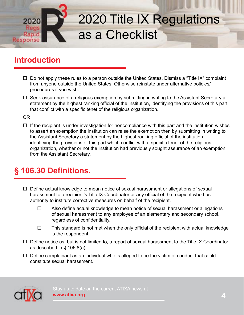

#### **Introduction**

- $\Box$  Do not apply these rules to a person outside the United States. Dismiss a "Title IX" complaint from anyone outside the United States. Otherwise reinstate under alternative policies/ procedures if you wish.
- $\Box$  Seek assurance of a religious exemption by submitting in writing to the Assistant Secretary a statement by the highest ranking official of the institution, identifying the provisions of this part that conflict with a specific tenet of the religious organization.

OR

 $\Box$  If the recipient is under investigation for noncompliance with this part and the institution wishes to assert an exemption the institution can raise the exemption then by submitting in writing to the Assistant Secretary a statement by the highest ranking official of the institution, identifying the provisions of this part which conflict with a specific tenet of the religious organization, whether or not the institution had previously sought assurance of an exemption from the Assistant Secretary.

#### **§ 106.30 Definitions.**

- $\Box$  Define actual knowledge to mean notice of sexual harassment or allegations of sexual harassment to a recipient's Title IX Coordinator or any official of the recipient who has authority to institute corrective measures on behalf of the recipient.
	- $\Box$  Also define actual knowledge to mean notice of sexual harassment or allegations of sexual harassment to any employee of an elementary and secondary school, regardless of confidentiality.
	- $\Box$  This standard is not met when the only official of the recipient with actual knowledge is the respondent.
- $\Box$  Define notice as, but is not limited to, a report of sexual harassment to the Title IX Coordinator as described in § 106.8(a).
- $\Box$  Define complainant as an individual who is alleged to be the victim of conduct that could constitute sexual harassment.



Stay up to date on the current ATIXA news at **www.atixa.org**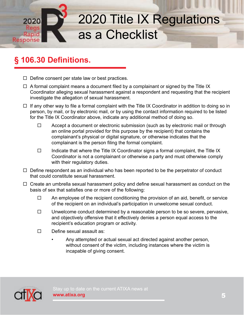

#### **§ 106.30 Definitions.**

- $\Box$  Define consent per state law or best practices.
- $\Box$  A formal complaint means a document filed by a complainant or signed by the Title IX Coordinator alleging sexual harassment against a respondent and requesting that the recipient investigate the allegation of sexual harassment.
- $\Box$  If any other way to file a formal complaint with the Title IX Coordinator in addition to doing so in person, by mail, or by electronic mail, or by using the contact information required to be listed for the Title IX Coordinator above, indicate any additional method of doing so.
	- $\Box$  Accept a document or electronic submission (such as by electronic mail or through an online portal provided for this purpose by the recipient) that contains the complainant's physical or digital signature, or otherwise indicates that the complainant is the person filing the formal complaint.
	- $\Box$  Indicate that where the Title IX Coordinator signs a formal complaint, the Title IX Coordinator is not a complainant or otherwise a party and must otherwise comply with their regulatory duties.
- $\Box$  Define respondent as an individual who has been reported to be the perpetrator of conduct that could constitute sexual harassment.
- $\Box$  Create an umbrella sexual harassment policy and define sexual harassment as conduct on the basis of sex that satisfies one or more of the following:
	- $\Box$  An employee of the recipient conditioning the provision of an aid, benefit, or service of the recipient on an individual's participation in unwelcome sexual conduct.
	- $\Box$  Unwelcome conduct determined by a reasonable person to be so severe, pervasive, and objectively offensive that it effectively denies a person equal access to the recipient's education program or activity.
	- $\square$  Define sexual assault as:
		- Any attempted or actual sexual act directed against another person, without consent of the victim, including instances where the victim is incapable of giving consent.

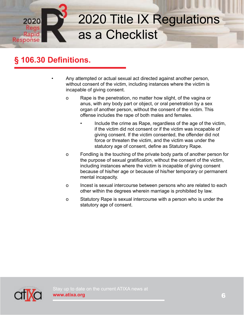

#### **§ 106.30 Definitions.**

 • Any attempted or actual sexual act directed against another person, without consent of the victim, including instances where the victim is incapable of giving consent.

- o Rape is the penetration, no matter how slight, of the vagina or anus, with any body part or object, or oral penetration by a sex organ of another person, without the consent of the victim. This offense includes the rape of both males and females.
	- Include the crime as Rape, regardless of the age of the victim, if the victim did not consent or if the victim was incapable of giving consent. If the victim consented, the offender did not force or threaten the victim, and the victim was under the statutory age of consent, define as Statutory Rape.
- o Fondling is the touching of the private body parts of another person for the purpose of sexual gratification, without the consent of the victim, including instances where the victim is incapable of giving consent because of his/her age or because of his/her temporary or permanent mental incapacity.
- o Incest is sexual intercourse between persons who are related to each other within the degrees wherein marriage is prohibited by law.
- o Statutory Rape is sexual intercourse with a person who is under the statutory age of consent.

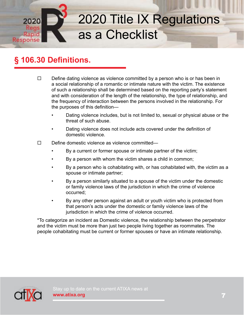

#### **§ 106.30 Definitions.**

- $\Box$  Define dating violence as violence committed by a person who is or has been in a social relationship of a romantic or intimate nature with the victim. The existence of such a relationship shall be determined based on the reporting party's statement and with consideration of the length of the relationship, the type of relationship, and the frequency of interaction between the persons involved in the relationship. For the purposes of this definition—
	- Dating violence includes, but is not limited to, sexual or physical abuse or the threat of such abuse.
	- Dating violence does not include acts covered under the definition of domestic violence.
- $\square$  Define domestic violence as violence committed—
	- By a current or former spouse or intimate partner of the victim;
	- By a person with whom the victim shares a child in common;
	- By a person who is cohabitating with, or has cohabitated with, the victim as a spouse or intimate partner;
	- By a person similarly situated to a spouse of the victim under the domestic or family violence laws of the jurisdiction in which the crime of violence occurred;
	- By any other person against an adult or youth victim who is protected from that person's acts under the domestic or family violence laws of the jurisdiction in which the crime of violence occurred.

 \*To categorize an incident as Domestic violence, the relationship between the perpetrator and the victim must be more than just two people living together as roommates. The people cohabitating must be current or former spouses or have an intimate relationship.

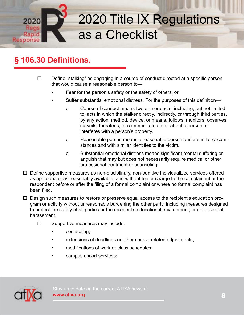

#### **§ 106.30 Definitions.**

- $\Box$  Define "stalking" as engaging in a course of conduct directed at a specific person that would cause a reasonable person to—
	- Fear for the person's safety or the safety of others; or
	- Suffer substantial emotional distress. For the purposes of this definition
		- o Course of conduct means two or more acts, including, but not limited to, acts in which the stalker directly, indirectly, or through third parties, by any action, method, device, or means, follows, monitors, observes, surveils, threatens, or communicates to or about a person, or interferes with a person's property.
		- o Reasonable person means a reasonable person under similar circum stances and with similar identities to the victim.
		- o Substantial emotional distress means significant mental suffering or anguish that may but does not necessarily require medical or other professional treatment or counseling.
- $\Box$  Define supportive measures as non-disciplinary, non-punitive individualized services offered as appropriate, as reasonably available, and without fee or charge to the complainant or the respondent before or after the filing of a formal complaint or where no formal complaint has been filed.
- $\Box$  Design such measures to restore or preserve equal access to the recipient's education program or activity without unreasonably burdening the other party, including measures designed to protect the safety of all parties or the recipient's educational environment, or deter sexual harassment.
	- $\square$  Supportive measures may include:
		- counseling;
		- extensions of deadlines or other course-related adjustments;
		- modifications of work or class schedules;
		- campus escort services;

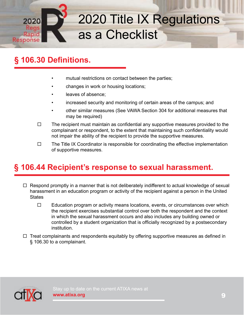

#### **§ 106.30 Definitions.**

- mutual restrictions on contact between the parties;
- changes in work or housing locations;
- leaves of absence:
- increased security and monitoring of certain areas of the campus; and
- other similar measures (See VAWA Section 304 for additional measures that may be required)
- $\Box$  The recipient must maintain as confidential any supportive measures provided to the complainant or respondent, to the extent that maintaining such confidentiality would not impair the ability of the recipient to provide the supportive measures.
- $\Box$  The Title IX Coordinator is responsible for coordinating the effective implementation of supportive measures.

#### **§ 106.44 Recipient's response to sexual harassment.**

- $\Box$  Respond promptly in a manner that is not deliberately indifferent to actual knowledge of sexual harassment in an education program or activity of the recipient against a person in the United **States** 
	- $\Box$  Education program or activity means locations, events, or circumstances over which the recipient exercises substantial control over both the respondent and the context in which the sexual harassment occurs and also includes any building owned or controlled by a student organization that is officially recognized by a postsecondary institution.
- $\Box$  Treat complainants and respondents equitably by offering supportive measures as defined in § 106.30 to a complainant.

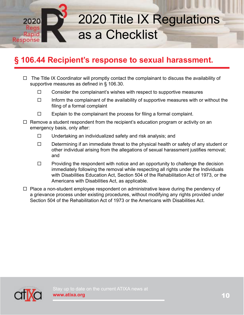

#### **§ 106.44 Recipient's response to sexual harassment.**

- $\Box$  The Title IX Coordinator will promptly contact the complainant to discuss the availability of supportive measures as defined in § 106.30.
	- $\Box$  Consider the complainant's wishes with respect to supportive measures
	- $\Box$  Inform the complainant of the availability of supportive measures with or without the filing of a formal complaint
	- $\Box$  Explain to the complainant the process for filing a formal complaint.
- $\Box$  Remove a student respondent from the recipient's education program or activity on an emergency basis, only after:
	- $\square$  Undertaking an individualized safety and risk analysis; and
	- $\Box$  Determining if an immediate threat to the physical health or safety of any student or other individual arising from the allegations of sexual harassment justifies removal; and
	- $\Box$  Providing the respondent with notice and an opportunity to challenge the decision immediately following the removal while respecting all rights under the Individuals with Disabilities Education Act, Section 504 of the Rehabilitation Act of 1973, or the Americans with Disabilities Act, as applicable.
- $\Box$  Place a non-student employee respondent on administrative leave during the pendency of a grievance process under existing procedures, without modifying any rights provided under Section 504 of the Rehabilitation Act of 1973 or the Americans with Disabilities Act.

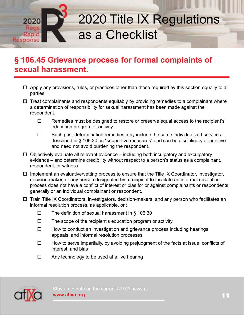

- $\Box$  Apply any provisions, rules, or practices other than those required by this section equally to all parties.
- $\Box$  Treat complainants and respondents equitably by providing remedies to a complainant where a determination of responsibility for sexual harassment has been made against the respondent.
	- $\Box$  Remedies must be designed to restore or preserve equal access to the recipient's education program or activity.
	- $\Box$  Such post-determination remedies may include the same individualized services described in § 106.30 as "supportive measures" and can be disciplinary or punitive and need not avoid burdening the respondent.
- $\Box$  Objectively evaluate all relevant evidence including both inculpatory and exculpatory evidence – and determine credibility without respect to a person's status as a complainant, respondent, or witness.
- $\Box$  Implement an evaluative/vetting process to ensure that the Title IX Coordinator, investigator, decision-maker, or any person designated by a recipient to facilitate an informal resolution process does not have a conflict of interest or bias for or against complainants or respondents generally or an individual complainant or respondent.
- $\Box$  Train Title IX Coordinators, investigators, decision-makers, and any person who facilitates an informal resolution process, as applicable, on:
	- $\Box$  The definition of sexual harassment in § 106.30
	- $\Box$  The scope of the recipient's education program or activity
	- $\Box$  How to conduct an investigation and grievance process including hearings, appeals, and informal resolution processes
	- $\Box$  How to serve impartially, by avoiding prejudgment of the facts at issue, conflicts of interest, and bias
	- $\Box$  Any technology to be used at a live hearing

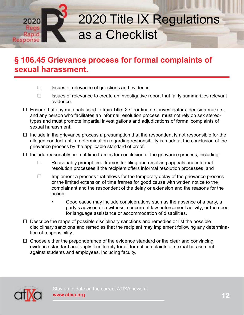

#### **§ 106.45 Grievance process for formal complaints of sexual harassment.**

- $\Box$  Issues of relevance of questions and evidence
- $\Box$  Issues of relevance to create an investigative report that fairly summarizes relevant evidence.
- $\Box$  Ensure that any materials used to train Title IX Coordinators, investigators, decision-makers, and any person who facilitates an informal resolution process, must not rely on sex stereotypes and must promote impartial investigations and adjudications of formal complaints of sexual harassment.
- $\Box$  Include in the grievance process a presumption that the respondent is not responsible for the alleged conduct until a determination regarding responsibility is made at the conclusion of the grievance process by the applicable standard of proof.
- $\Box$  Include reasonably prompt time frames for conclusion of the grievance process, including:
	- $\Box$  Reasonably prompt time frames for filing and resolving appeals and informal resolution processes if the recipient offers informal resolution processes, and
	- $\Box$  Implement a process that allows for the temporary delay of the grievance process or the limited extension of time frames for good cause with written notice to the complainant and the respondent of the delay or extension and the reasons for the action.
		- Good cause may include considerations such as the absence of a party, a party's advisor, or a witness; concurrent law enforcement activity; or the need for language assistance or accommodation of disabilities.
- $\Box$  Describe the range of possible disciplinary sanctions and remedies or list the possible disciplinary sanctions and remedies that the recipient may implement following any determination of responsibility.
- $\Box$  Choose either the preponderance of the evidence standard or the clear and convincing evidence standard and apply it uniformly for all formal complaints of sexual harassment against students and employees, including faculty.



Stay up to date on the current ATIXA news at **www.atixa.org**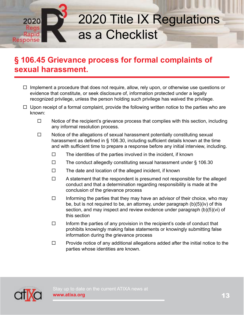

- $\Box$  Implement a procedure that does not require, allow, rely upon, or otherwise use questions or evidence that constitute, or seek disclosure of, information protected under a legally recognized privilege, unless the person holding such privilege has waived the privilege.
- $\Box$  Upon receipt of a formal complaint, provide the following written notice to the parties who are known:
	- $\Box$  Notice of the recipient's grievance process that complies with this section, including any informal resolution process.
	- $\Box$  Notice of the allegations of sexual harassment potentially constituting sexual harassment as defined in § 106.30, including sufficient details known at the time and with sufficient time to prepare a response before any initial interview, including.
		- $\Box$  The identities of the parties involved in the incident, if known
		- $\Box$  The conduct allegedly constituting sexual harassment under § 106.30
		- $\square$  The date and location of the alleged incident, if known
		- $\Box$  A statement that the respondent is presumed not responsible for the alleged conduct and that a determination regarding responsibility is made at the conclusion of the grievance process
		- $\Box$  Informing the parties that they may have an advisor of their choice, who may be, but is not required to be, an attorney, under paragraph (b)(5)(iv) of this section, and may inspect and review evidence under paragraph (b)(5)(vi) of this section
		- $\Box$  Inform the parties of any provision in the recipient's code of conduct that prohibits knowingly making false statements or knowingly submitting false information during the grievance process
		- $\Box$  Provide notice of any additional allegations added after the initial notice to the parties whose identities are known.

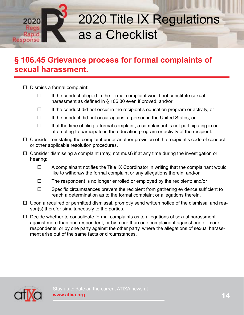

- $\Box$  Dismiss a formal complaint:
	- $\Box$  If the conduct alleged in the formal complaint would not constitute sexual harassment as defined in § 106.30 even if proved, and/or
	- $\Box$  If the conduct did not occur in the recipient's education program or activity, or
	- $\Box$  If the conduct did not occur against a person in the United States, or
	- $\Box$  If at the time of filing a formal complaint, a complainant is not participating in or attempting to participate in the education program or activity of the recipient.
- $\Box$  Consider reinstating the complaint under another provision of the recipient's code of conduct or other applicable resolution procedures.
- $\Box$  Consider dismissing a complaint (may, not must) if at any time during the investigation or hearing:
	- $\Box$  A complainant notifies the Title IX Coordinator in writing that the complainant would like to withdraw the formal complaint or any allegations therein; and/or
	- $\Box$  The respondent is no longer enrolled or employed by the recipient; and/or
	- $\Box$  Specific circumstances prevent the recipient from gathering evidence sufficient to reach a determination as to the formal complaint or allegations therein.
- $\Box$  Upon a required or permitted dismissal, promptly send written notice of the dismissal and reason(s) therefor simultaneously to the parties.
- $\Box$  Decide whether to consolidate formal complaints as to allegations of sexual harassment against more than one respondent, or by more than one complainant against one or more respondents, or by one party against the other party, where the allegations of sexual harassment arise out of the same facts or circumstances.

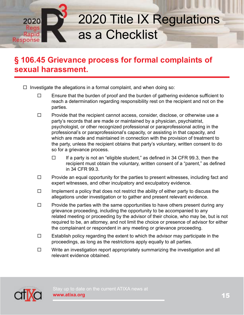

- $\Box$  Investigate the allegations in a formal complaint, and when doing so:
	- $\Box$  Ensure that the burden of proof and the burden of gathering evidence sufficient to reach a determination regarding responsibility rest on the recipient and not on the parties.
	- $\Box$  Provide that the recipient cannot access, consider, disclose, or otherwise use a party's records that are made or maintained by a physician, psychiatrist, psychologist, or other recognized professional or paraprofessional acting in the professional's or paraprofessional's capacity, or assisting in that capacity, and which are made and maintained in connection with the provision of treatment to the party, unless the recipient obtains that party's voluntary, written consent to do so for a grievance process.
		- $\Box$  If a party is not an "eligible student," as defined in 34 CFR 99.3, then the recipient must obtain the voluntary, written consent of a "parent," as defined in 34 CFR 99.3.
	- $\Box$  Provide an equal opportunity for the parties to present witnesses, including fact and expert witnesses, and other inculpatory and exculpatory evidence.
	- $\Box$  Implement a policy that does not restrict the ability of either party to discuss the allegations under investigation or to gather and present relevant evidence.
	- $\Box$  Provide the parties with the same opportunities to have others present during any grievance proceeding, including the opportunity to be accompanied to any related meeting or proceeding by the advisor of their choice, who may be, but is not required to be, an attorney, and not limit the choice or presence of advisor for either the complainant or respondent in any meeting or grievance proceeding.
	- $\Box$  Establish policy regarding the extent to which the advisor may participate in the proceedings, as long as the restrictions apply equally to all parties.
	- $\square$  Write an investigation report appropriately summarizing the investigation and all relevant evidence obtained.

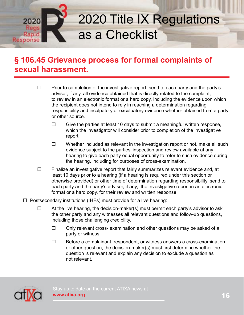

- $\Box$  Prior to completion of the investigative report, send to each party and the party's advisor, if any, all evidence obtained that is directly related to the complaint, to review in an electronic format or a hard copy, including the evidence upon which the recipient does not intend to rely in reaching a determination regarding responsibility and inculpatory or exculpatory evidence whether obtained from a party or other source.
	- $\Box$  Give the parties at least 10 days to submit a meaningful written response, which the investigator will consider prior to completion of the investigative report.
	- $\Box$  Whether included as relevant in the investigation report or not, make all such evidence subject to the parties' inspection and review available at any hearing to give each party equal opportunity to refer to such evidence during the hearing, including for purposes of cross-examination.
- $\Box$  Finalize an investigative report that fairly summarizes relevant evidence and, at least 10 days prior to a hearing (if a hearing is required under this section or otherwise provided) or other time of determination regarding responsibility, send to each party and the party's advisor, if any, the investigative report in an electronic format or a hard copy, for their review and written response.
- $\Box$  Postsecondary institutions (IHEs) must provide for a live hearing:
	- $\Box$  At the live hearing, the decision-maker(s) must permit each party's advisor to ask the other party and any witnesses all relevant questions and follow-up questions, including those challenging credibility.
		- $\Box$  Only relevant cross- examination and other questions may be asked of a party or witness.
		- $\Box$  Before a complainant, respondent, or witness answers a cross-examination or other question, the decision-maker(s) must first determine whether the question is relevant and explain any decision to exclude a question as not relevant.

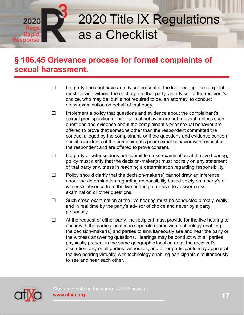

#### **§ 106.45 Grievance process for formal complaints of sexual harassment.**

- $\Box$  If a party does not have an advisor present at the live hearing, the recipient must provide without fee or charge to that party, an advisor of the recipient's choice, who may be, but is not required to be, an attorney, to conduct cross-examination on behalf of that party.
- $\Box$  Implement a policy that questions and evidence about the complainant's sexual predisposition or prior sexual behavior are not relevant, unless such questions and evidence about the complainant's prior sexual behavior are offered to prove that someone other than the respondent committed the conduct alleged by the complainant, or if the questions and evidence concern specific incidents of the complainant's prior sexual behavior with respect to the respondent and are offered to prove consent.
- $\Box$  If a party or witness does not submit to cross-examination at the live hearing, policy must clarify that the decision-maker(s) must not rely on any statement of that party or witness in reaching a determination regarding responsibility.
- $\Box$  Policy should clarify that the decision-maker(s) cannot draw an inference about the determination regarding responsibility based solely on a party's or witness's absence from the live hearing or refusal to answer cross examination or other questions.
- $\Box$  Such cross-examination at the live hearing must be conducted directly, orally, and in real time by the party's advisor of choice and never by a party personally.
- $\Box$  At the request of either party, the recipient must provide for the live hearing to occur with the parties located in separate rooms with technology enabling the decision-maker(s) and parties to simultaneously see and hear the party or the witness answering questions. Hearings may be conduct with all parties physically present in the same geographic location or, at the recipient's discretion, any or all parties, witnesses, and other participants may appear at the live hearing virtually, with technology enabling participants simultaneously to see and hear each other.



Stay up to date on the current ATIXA news at **www.atixa.org**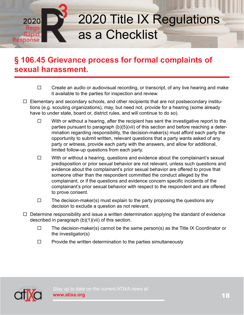

- $\Box$  Create an audio or audiovisual recording, or transcript, of any live hearing and make it available to the parties for inspection and review.
- $\Box$  Elementary and secondary schools, and other recipients that are not postsecondary institutions (e.g. scouting organizations), may, but need not, provide for a hearing (some already have to under state, board or, district rules, and will continue to do so).
	- $\Box$  With or without a hearing, after the recipient has sent the investigative report to the parties pursuant to paragraph (b)(5)(vii) of this section and before reaching a deter mination regarding responsibility, the decision-maker(s) must afford each party the opportunity to submit written, relevant questions that a party wants asked of any party or witness, provide each party with the answers, and allow for additional, limited follow-up questions from each party.
	- $\Box$  With or without a hearing, questions and evidence about the complainant's sexual predisposition or prior sexual behavior are not relevant, unless such questions and evidence about the complainant's prior sexual behavior are offered to prove that someone other than the respondent committed the conduct alleged by the complainant, or if the questions and evidence concern specific incidents of the complainant's prior sexual behavior with respect to the respondent and are offered to prove consent.
	- $\Box$  The decision-maker(s) must explain to the party proposing the questions any decision to exclude a question as not relevant.
- $\Box$  Determine responsibility and issue a written determination applying the standard of evidence described in paragraph (b)(1)(vii) of this section.
	- $\Box$  The decision-maker(s) cannot be the same person(s) as the Title IX Coordinator or the investigator(s)
	- $\Box$  Provide the written determination to the parties simultaneously

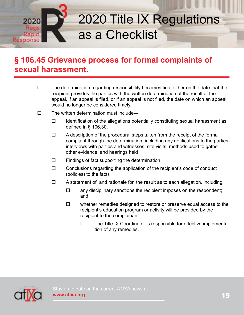

- $\Box$  The determination regarding responsibility becomes final either on the date that the recipient provides the parties with the written determination of the result of the appeal, if an appeal is filed, or if an appeal is not filed, the date on which an appeal would no longer be considered timely.
- $\square$  The written determination must include—
	- $\Box$  Identification of the allegations potentially constituting sexual harassment as defined in § 106.30.
	- $\Box$  A description of the procedural steps taken from the receipt of the formal complaint through the determination, including any notifications to the parties, interviews with parties and witnesses, site visits, methods used to gather other evidence, and hearings held
	- $\Box$  Findings of fact supporting the determination
	- $\Box$  Conclusions regarding the application of the recipient's code of conduct (policies) to the facts
	- $\Box$  A statement of, and rationale for, the result as to each allegation, including:
		- $\Box$  any disciplinary sanctions the recipient imposes on the respondent; and
		- $\Box$  whether remedies designed to restore or preserve equal access to the recipient's education program or activity will be provided by the recipient to the complainant
			- $\Box$  The Title IX Coordinator is responsible for effective implementation of any remedies.

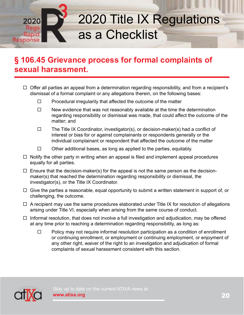

- $\Box$  Offer all parties an appeal from a determination regarding responsibility, and from a recipient's dismissal of a formal complaint or any allegations therein, on the following bases:
	- $\Box$  Procedural irregularity that affected the outcome of the matter
	- $\Box$  New evidence that was not reasonably available at the time the determination regarding responsibility or dismissal was made, that could affect the outcome of the matter; and
	- $\Box$  The Title IX Coordinator, investigator(s), or decision-maker(s) had a conflict of interest or bias for or against complainants or respondents generally or the individual complainant or respondent that affected the outcome of the matter
	- $\Box$  Other additional bases, as long as applied to the parties, equitably.
- $\Box$  Notify the other party in writing when an appeal is filed and implement appeal procedures equally for all parties.
- $\Box$  Ensure that the decision-maker(s) for the appeal is not the same person as the decisionmaker(s) that reached the determination regarding responsibility or dismissal, the investigator(s), or the Title IX Coordinator.
- $\Box$  Give the parties a reasonable, equal opportunity to submit a written statement in support of, or challenging, the outcome.
- $\Box$  A recipient may use the same procedures elaborated under Title IX for resolution of allegations arising under Title VI, especially when arising from the same course of conduct.
- $\Box$  Informal resolution, that does not involve a full investigation and adjudication, may be offered at any time prior to reaching a determination regarding responsibility, as long as:
	- $\Box$  Policy may not require informal resolution participation as a condition of enrollment or continuing enrollment, or employment or continuing employment, or enjoyment of any other right, waiver of the right to an investigation and adjudication of formal complaints of sexual harassment consistent with this section.

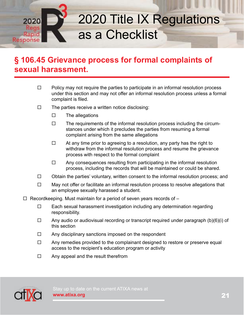

- $\Box$  Policy may not require the parties to participate in an informal resolution process under this section and may not offer an informal resolution process unless a formal complaint is filed.
- $\square$  The parties receive a written notice disclosing:
	- $\square$  The allegations
	- $\Box$  The requirements of the informal resolution process including the circum stances under which it precludes the parties from resuming a formal complaint arising from the same allegations
	- $\Box$  At any time prior to agreeing to a resolution, any party has the right to withdraw from the informal resolution process and resume the grievance process with respect to the formal complaint
	- $\Box$  Any consequences resulting from participating in the informal resolution process, including the records that will be maintained or could be shared.
- $\Box$  Obtain the parties' voluntary, written consent to the informal resolution process; and
- $\Box$  May not offer or facilitate an informal resolution process to resolve allegations that an employee sexually harassed a student.
- $\Box$  Recordkeeping. Must maintain for a period of seven years records of  $-$ 
	- $\Box$  Each sexual harassment investigation including any determination regarding responsibility.
	- $\Box$  Any audio or audiovisual recording or transcript required under paragraph (b)(6)(i) of this section
	- $\Box$  Any disciplinary sanctions imposed on the respondent
	- $\Box$  Any remedies provided to the complainant designed to restore or preserve equal access to the recipient's education program or activity
	- $\Box$  Any appeal and the result therefrom

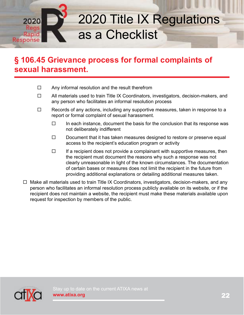

- $\Box$  Any informal resolution and the result therefrom
- $\Box$  All materials used to train Title IX Coordinators, investigators, decision-makers, and any person who facilitates an informal resolution process
- $\Box$  Records of any actions, including any supportive measures, taken in response to a report or formal complaint of sexual harassment.
	- $\Box$  In each instance, document the basis for the conclusion that its response was not deliberately indifferent
	- $\Box$  Document that it has taken measures designed to restore or preserve equal access to the recipient's education program or activity
	- $\Box$  If a recipient does not provide a complainant with supportive measures, then the recipient must document the reasons why such a response was not clearly unreasonable in light of the known circumstances. The documentation of certain bases or measures does not limit the recipient in the future from providing additional explanations or detailing additional measures taken.
- $\Box$  Make all materials used to train Title IX Coordinators, investigators, decision-makers, and any person who facilitates an informal resolution process publicly available on its website, or if the recipient does not maintain a website, the recipient must make these materials available upon request for inspection by members of the public.

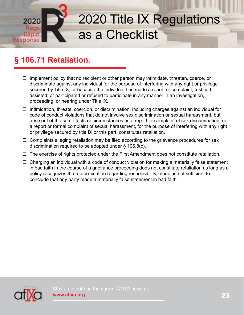#### **§ 106.71 Retaliation.**

Rapic Response

- $\Box$  Implement policy that no recipient or other person may intimidate, threaten, coerce, or discriminate against any individual for the purpose of interfering with any right or privilege secured by Title IX, or because the individual has made a report or complaint, testified, assisted, or participated or refused to participate in any manner in an investigation, proceeding, or hearing under Title IX.
- $\Box$  Intimidation, threats, coercion, or discrimination, including charges against an individual for code of conduct violations that do not involve sex discrimination or sexual harassment, but arise out of the same facts or circumstances as a report or complaint of sex discrimination, or a report or formal complaint of sexual harassment, for the purpose of interfering with any right or privilege secured by title IX or this part, constitutes retaliation.
- $\Box$  Complaints alleging retaliation may be filed according to the grievance procedures for sex discrimination required to be adopted under § 106.8(c).
- $\Box$  The exercise of rights protected under the First Amendment does not constitute retaliation.
- $\Box$  Charging an individual with a code of conduct violation for making a materially false statement in bad faith in the course of a grievance proceeding does not constitute retaliation as long as a policy recognizes that determination regarding responsibility, alone, is not sufficient to conclude that any party made a materially false statement in bad faith.